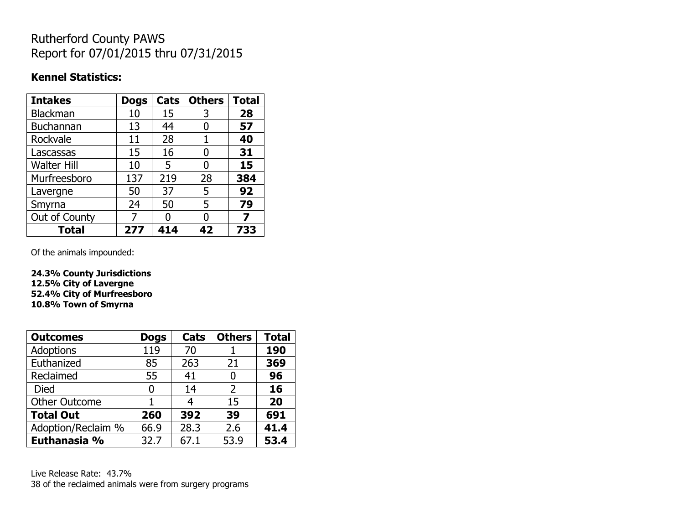## Rutherford County PAWS Report for 07/01/2015 thru 07/31/2015

## **Kennel Statistics:**

| <b>Intakes</b>     | <b>Dogs</b> | Cats | <b>Others</b> | <b>Total</b> |
|--------------------|-------------|------|---------------|--------------|
| <b>Blackman</b>    | 10          | 15   | 3             | 28           |
| <b>Buchannan</b>   | 13          | 44   | 0             | 57           |
| Rockvale           | 11          | 28   | 1             | 40           |
| Lascassas          | 15          | 16   | 0             | 31           |
| <b>Walter Hill</b> | 10          | 5    | 0             | 15           |
| Murfreesboro       | 137         | 219  | 28            | 384          |
| Lavergne           | 50          | 37   | 5             | 92           |
| Smyrna             | 24          | 50   | 5             | 79           |
| Out of County      | 7           | n    | 0             | 7            |
| Total              | 277         | 414  | 42            | 733          |

Of the animals impounded:

**24.3% County Jurisdictions 12.5% City of Lavergne 52.4% City of Murfreesboro 10.8% Town of Smyrna**

| <b>Outcomes</b>      | <b>Dogs</b> | Cats | <b>Others</b>  | <b>Total</b> |
|----------------------|-------------|------|----------------|--------------|
| <b>Adoptions</b>     | 119         | 70   |                | 190          |
| Euthanized           | 85          | 263  | 21             | 369          |
| Reclaimed            | 55          | 41   | 0              | 96           |
| Died                 | 0           | 14   | $\overline{2}$ | 16           |
| <b>Other Outcome</b> |             |      | 15             | 20           |
| <b>Total Out</b>     | 260         | 392  | 39             | 691          |
| Adoption/Reclaim %   | 66.9        | 28.3 | 2.6            | 41.4         |
| Euthanasia %         | 32.7        | 67.1 | 53.9           | 53.4         |

Live Release Rate: 43.7% 38 of the reclaimed animals were from surgery programs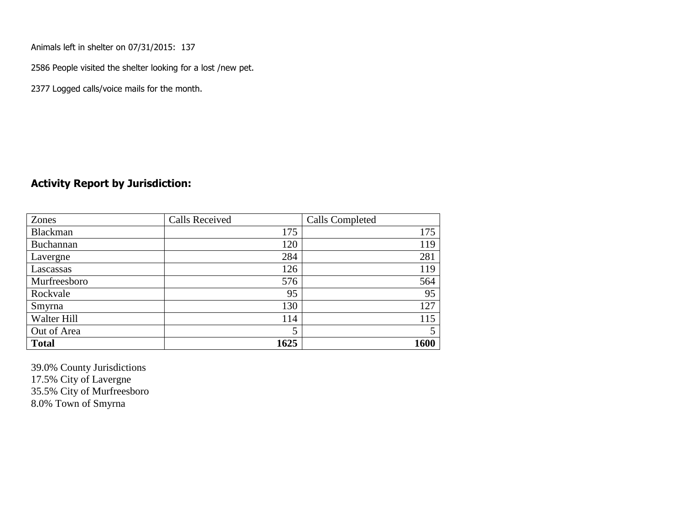Animals left in shelter on 07/31/2015: 137

2586 People visited the shelter looking for a lost /new pet.

2377 Logged calls/voice mails for the month.

## **Activity Report by Jurisdiction:**

| Zones           | <b>Calls Received</b> | Calls Completed |
|-----------------|-----------------------|-----------------|
| <b>Blackman</b> | 175                   | 175             |
| Buchannan       | 120                   | 119             |
| Lavergne        | 284                   | 281             |
| Lascassas       | 126                   | 119             |
| Murfreesboro    | 576                   | 564             |
| Rockvale        | 95                    | 95              |
| Smyrna          | 130                   | 127             |
| Walter Hill     | 114                   | 115             |
| Out of Area     | 5                     | 5               |
| <b>Total</b>    | 1625                  | 1600            |

39.0% County Jurisdictions 17.5% City of Lavergne 35.5% City of Murfreesboro 8.0% Town of Smyrna